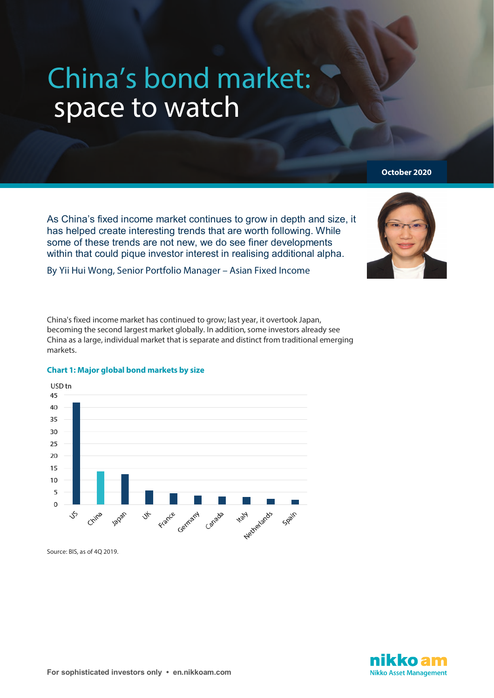# China's bond market: space to watch

As China's fixed income market continues to grow in depth and size, it has helped create interesting trends that are worth following. While some of these trends are not new, we do see finer developments within that could pique investor interest in realising additional alpha.

By Yii Hui Wong, Senior Portfolio Manager – Asian Fixed Income

China's fixed income market has continued to grow; last year, it overtook Japan, becoming the second largest market globally. In addition, some investors already see China as a large, individual market that is separate and distinct from traditional emerging markets.



# **Chart 1: Major global bond markets by size**

Source: BIS, as of 4Q 2019.



**October 2020**

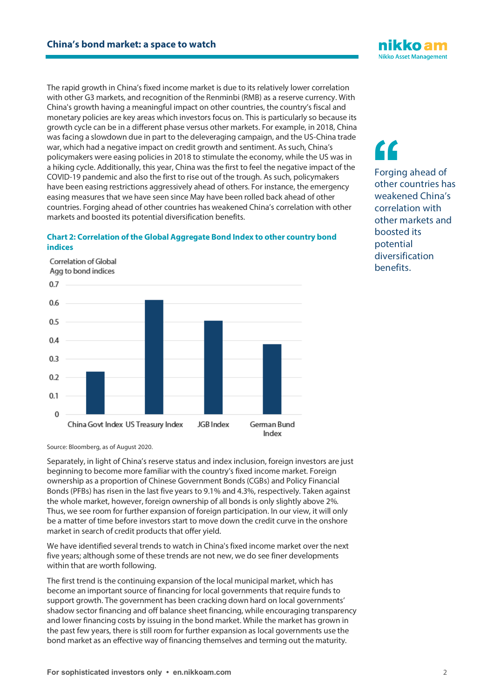The rapid growth in China's fixed income market is due to its relatively lower correlation with other G3 markets, and recognition of the Renminbi (RMB) as a reserve currency. With China's growth having a meaningful impact on other countries, the country's fiscal and monetary policies are key areas which investors focus on. This is particularly so because its growth cycle can be in a different phase versus other markets. For example, in 2018, China was facing a slowdown due in part to the deleveraging campaign, and the US-China trade war, which had a negative impact on credit growth and sentiment. As such, China's policymakers were easing policies in 2018 to stimulate the economy, while the US was in a hiking cycle. Additionally, this year, China was the first to feel the negative impact of the COVID-19 pandemic and also the first to rise out of the trough. As such, policymakers have been easing restrictions aggressively ahead of others. For instance, the emergency easing measures that we have seen since May have been rolled back ahead of other countries. Forging ahead of other countries has weakened China's correlation with other markets and boosted its potential diversification benefits.

## **Chart 2: Correlation of the Global Aggregate Bond Index to other country bond indices**

Correlation of Global Agg to bond indices  $0.7$  $0.6$  $0.5$  $0.4$  $0.3$  $0.2$  $0.1$  $\Omega$ China Govt Index US Treasury Index JGR Index German Rund

Source: Bloomberg, as of August 2020.

Separately, in light of China's reserve status and index inclusion, foreign investors are just beginning to become more familiar with the country's fixed income market. Foreign ownership as a proportion of Chinese Government Bonds (CGBs) and Policy Financial Bonds (PFBs) has risen in the last five years to 9.1% and 4.3%, respectively. Taken against the whole market, however, foreign ownership of all bonds is only slightly above 2%. Thus, we see room for further expansion of foreign participation. In our view, it will only be a matter of time before investors start to move down the credit curve in the onshore market in search of credit products that offer yield.

We have identified several trends to watch in China's fixed income market over the next five years; although some of these trends are not new, we do see finer developments within that are worth following.

The first trend is the continuing expansion of the local municipal market, which has become an important source of financing for local governments that require funds to support growth. The government has been cracking down hard on local governments' shadow sector financing and off balance sheet financing, while encouraging transparency and lower financing costs by issuing in the bond market. While the market has grown in the past few years, there is still room for further expansion as local governments use the bond market as an effective way of financing themselves and terming out the maturity.

Forging ahead of other countries has weakened China's correlation with other markets and boosted its potential diversification **benefits ''**



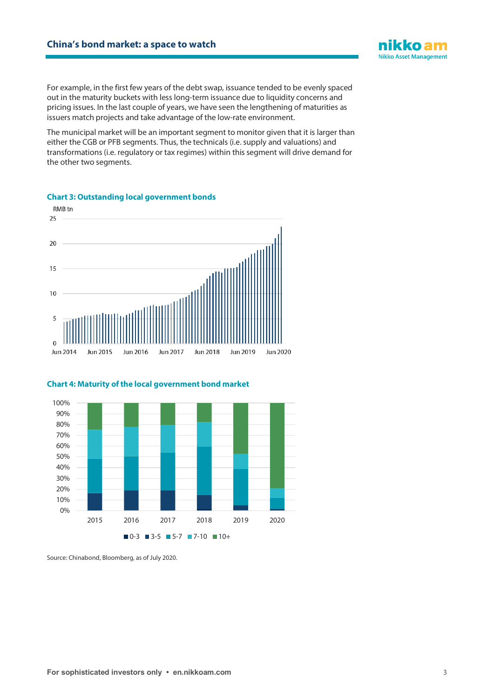

The municipal market will be an important segment to monitor given that it is larger than either the CGB or PFB segments. Thus, the technicals (i.e. supply and valuations) and transformations (i.e. regulatory or tax regimes) within this segment will drive demand for the other two segments.



# **Chart 3: Outstanding local government bonds**

#### **Chart 4: Maturity of the local government bond market**



Source: Chinabond, Bloomberg, as of July 2020.

ikko am **Nikko Asset Management**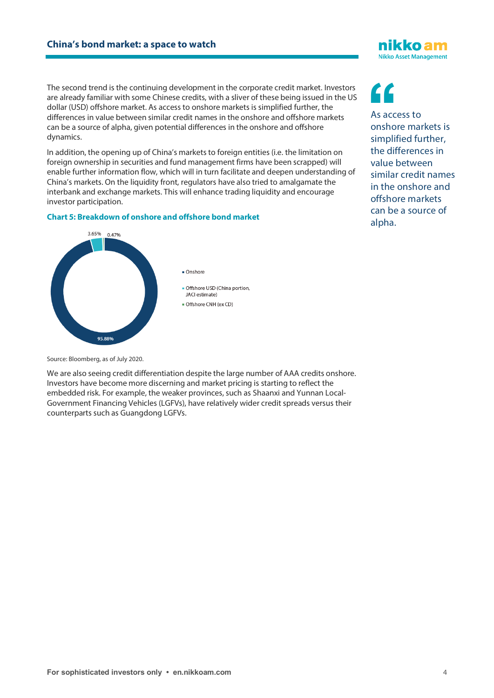The second trend is the continuing development in the corporate credit market. Investors are already familiar with some Chinese credits, with a sliver of these being issued in the US dollar (USD) offshore market. As access to onshore markets is simplified further, the differences in value between similar credit names in the onshore and offshore markets can be a source of alpha, given potential differences in the onshore and offshore dynamics.

In addition, the opening up of China's markets to foreign entities (i.e. the limitation on foreign ownership in securities and fund management firms have been scrapped) will enable further information flow, which will in turn facilitate and deepen understanding of China's markets. On the liquidity front, regulators have also tried to amalgamate the interbank and exchange markets. This will enhance trading liquidity and encourage investor participation.

## **Chart 5: Breakdown of onshore and offshore bond market**



As access to onshore markets is simplified further, the differences in value between similar credit names in the onshore and offshore markets can be a source of alpha.

iikko am **Nikko Asset Management** 

Source: Bloomberg, as of July 2020.

We are also seeing credit differentiation despite the large number of AAA credits onshore. Investors have become more discerning and market pricing is starting to reflect the embedded risk. For example, the weaker provinces, such as Shaanxi and Yunnan Local-Government Financing Vehicles (LGFVs), have relatively wider credit spreads versus their counterparts such as Guangdong LGFVs.

**<sup>&#</sup>x27;'**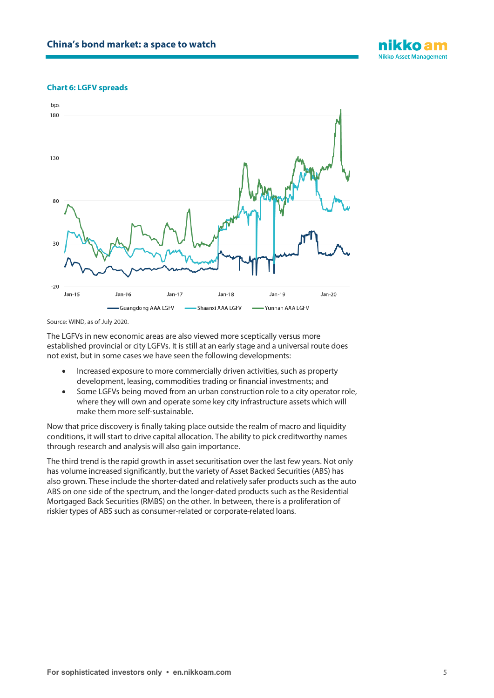

#### **Chart 6: LGFV spreads**



Source: WIND, as of July 2020.

The LGFVs in new economic areas are also viewed more sceptically versus more established provincial or city LGFVs. It is still at an early stage and a universal route does not exist, but in some cases we have seen the following developments:

- Increased exposure to more commercially driven activities, such as property development, leasing, commodities trading or financial investments; and
- Some LGFVs being moved from an urban construction role to a city operator role, where they will own and operate some key city infrastructure assets which will make them more self-sustainable.

Now that price discovery is finally taking place outside the realm of macro and liquidity conditions, it will start to drive capital allocation. The ability to pick creditworthy names through research and analysis will also gain importance.

The third trend is the rapid growth in asset securitisation over the last few years. Not only has volume increased significantly, but the variety of Asset Backed Securities (ABS) has also grown. These include the shorter-dated and relatively safer products such as the auto ABS on one side of the spectrum, and the longer-dated products such as the Residential Mortgaged Back Securities (RMBS) on the other. In between, there is a proliferation of riskier types of ABS such as consumer-related or corporate-related loans.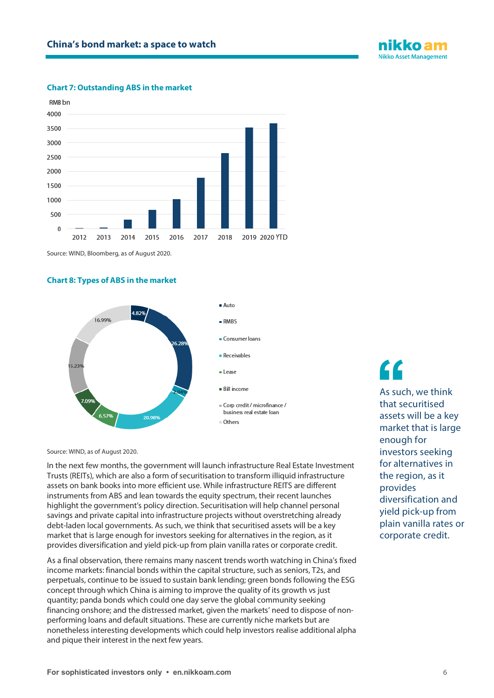

### **Chart 7: Outstanding ABS in the market**



Source: WIND, Bloomberg, as of August 2020.

#### **Chart 8: Types of ABS in the market**



Source: WIND, as of August 2020.

In the next few months, the government will launch infrastructure Real Estate Investment Trusts (REITs), which are also a form of securitisation to transform illiquid infrastructure assets on bank books into more efficient use. While infrastructure REITS are different instruments from ABS and lean towards the equity spectrum, their recent launches highlight the government's policy direction. Securitisation will help channel personal savings and private capital into infrastructure projects without overstretching already debt-laden local governments. As such, we think that securitised assets will be a key market that is large enough for investors seeking for alternatives in the region, as it provides diversification and yield pick-up from plain vanilla rates or corporate credit.

As a final observation, there remains many nascent trends worth watching in China's fixed income markets: financial bonds within the capital structure, such as seniors, T2s, and perpetuals, continue to be issued to sustain bank lending; green bonds following the ESG concept through which China is aiming to improve the quality of its growth vs just quantity; panda bonds which could one day serve the global community seeking financing onshore; and the distressed market, given the markets' need to dispose of nonperforming loans and default situations. These are currently niche markets but are nonetheless interesting developments which could help investors realise additional alpha and pique their interest in the next few years.

As such, we think that securitised assets will be a key market that is large enough for investors seeking for alternatives in the region, as it provides diversification and yield pick-up from plain vanilla rates or corporate credit. **''**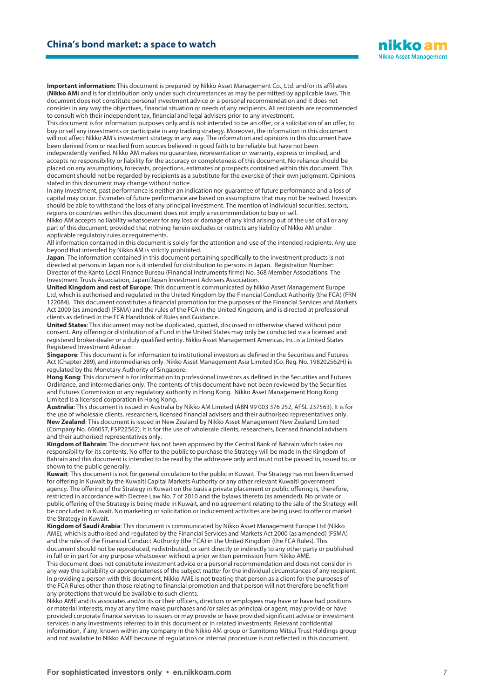

Important information: This document is prepared by Nikko Asset Management Co., Ltd. and/or its affiliates (Nikko AM) and is for distribution only under such circumstances as may be permitted by applicable laws. This document does not constitute personal investment advice or a personal recommendation and it does not consider in any way the objectives, financial situation or needs of any recipients. All recipients are recommended to consult with their independent tax, financial and legal advisers prior to any investment.

This document is for information purposes only and is not intended to be an offer, or a solicitation of an offer, to buy or sell any investments or participate in any trading strategy. Moreover, the information in this document will not affect Nikko AM's investment strategy in any way. The information and opinions in this document have been derived from or reached from sources believed in good faith to be reliable but have not been independently verified. Nikko AM makes no guarantee, representation or warranty, express or implied, and accepts no responsibility or liability for the accuracy or completeness of this document. No reliance should be placed on any assumptions, forecasts, projections, estimates or prospects contained within this document. This document should not be regarded by recipients as a substitute for the exercise of their own judgment. Opinions

stated in this document may change without notice.

In any investment, past performance is neither an indication nor guarantee of future performance and a loss of capital may occur. Estimates of future performance are based on assumptions that may not be realised. Investors should be able to withstand the loss of any principal investment. The mention of individual securities, sectors, regions or countries within this document does not imply a recommendation to buy or sell.

Nikko AM accepts no liability whatsoever for any loss or damage of any kind arising out of the use of all or any part of this document, provided that nothing herein excludes or restricts any liability of Nikko AM under applicable regulatory rules or requirements.

All information contained in this document is solely for the attention and use of the intended recipients. Any use beyond that intended by Nikko AM is strictly prohibited.

**Japan**: The information contained in this document pertaining specifically to the investment products is not directed at persons in Japan nor is it intended for distribution to persons in Japan. Registration Number: Director of the Kanto Local Finance Bureau (Financial Instruments firms) No. 368 Member Associations: The Investment Trusts Association, Japan/Japan Investment Advisers Association.

**United Kingdom and rest of Europe**: This document is communicated by Nikko Asset Management Europe Ltd, which is authorised and regulated in the United Kingdom by the Financial Conduct Authority (the FCA) (FRN 122084). This document constitutes a financial promotion for the purposes of the Financial Services and Markets Act 2000 (as amended) (FSMA) and the rules of the FCA in the United Kingdom, and is directed at professional clients as defined in the FCA Handbook of Rules and Guidance.

**United States**: This document may not be duplicated, quoted, discussed or otherwise shared without prior consent. Any offering or distribution of a Fund in the United States may only be conducted via a licensed and registered broker -dealer or a duly qualified entity. Nikko Asset Management Americas, Inc. is a United States Registered Investment Adviser.

**Singapore**: This document is for information to institutional investors as defined in the Securities and Futures Act (Chapter 289), and intermediaries only. Nikko Asset Management Asia Limited (Co. Reg. No. 198202562H) is regulated by the Monetary Authority of Singapore.

**Hong Kong**: This document is for information to professional investors as defined in the Securities and Futures Ordinance, and intermediaries only. The contents of this document have not been reviewed by the Securities and Futures Commission or any regulatory authority in Hong Kong. Nikko Asset Management Hong Kong Limited is a licensed corporation in Hong Kong.

**Australia**: This document is issued in Australia by Nikko AM Limited (ABN 99 003 376 252, AFSL 237563). It is for the use of wholesale clients, researchers, licensed financial advisers and their authorised representatives only. **New Zealand**: This document is issued in New Zealand by Nikko Asset Management New Zealand Limited (Company No. 606057, FSP22562). It is for the use of wholesale clients, researchers, licensed financial advisers and their authorised representatives only.

**Kingdom of Bahrain**: The document has not been approved by the Central Bank of Bahrain which takes no responsibility for its contents. No offer to the public to purchase the Strategy will be made in the Kingdom of Bahrain and this document is intended to be read by the addressee only and must not be passed to, issued to, or shown to the public generally.

**Kuwait**: This document is not for general circulation to the public in Kuwait. The Strategy has not been licensed for offering in Kuwait by the Kuwaiti Capital Markets Authority or any other relevant Kuwaiti government agency. The offering of the Strategy in Kuwait on the basis a private placement or public offering is, therefore, restricted in accordance with Decree Law No. 7 of 2010 and the bylaws thereto (as amended). No private or public offering of the Strategy is being made in Kuwait, and no agreement relating to the sale of the Strategy will be concluded in Kuwait. No marketing or solicitation or inducement activities are being used to offer or market the Strategy in Kuwait.

**Kingdom of Saudi Arabia**: This document is communicated by Nikko Asset Management Europe Ltd (Nikko AME), which is authorised and regulated by the Financial Services and Markets Act 2000 (as amended) (FSMA) and the rules of the Financial Conduct Authority (the FCA) in the United Kingdom (the FCA Rules). This document should not be reproduced, redistributed, or sent directly or indirectly to any other party or published in full or in part for any purpose whatsoever without a prior written permission from Nikko AME.

This document does not constitute investment advice or a personal recommendation and does not consider in any way the suitability or appropriateness of the subject matter for the individual circumstances of any recipient. In providing a person with this document, Nikko AME is not treating that person as a client for the purposes of the FCA Rules other than those relating to financial promotion and that person will not therefore benefit from any protections that would be available to such clients.

Nikko AME and its associates and/or its or their officers, directors or employees may have or have had positions or material interests, may at any time make purchases and/or sales as principal or agent, may provide or have provided corporate finance services to issuers or may provide or have provided significant advice or investment services in any investments referred to in this document or in related investments. Relevant confidential information, if any, known within any company in the Nikko AM group or Sumitomo Mitsui Trust Holdings group and not available to Nikko AME because of regulations or internal procedure is not reflected in this document.